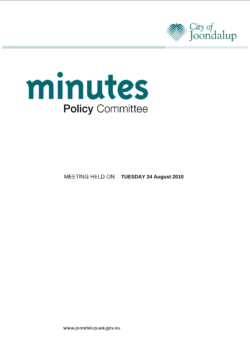



**MEETING HELD ON TUESDAY 24 August 2010** 

www.joondalup.wa.gov.au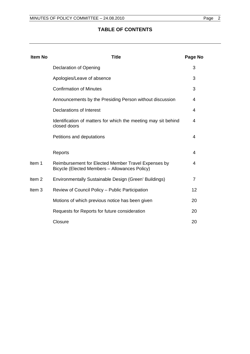# **TABLE OF CONTENTS**

| <b>Item No</b>    | <b>Title</b>                                                                                         | Page No |
|-------------------|------------------------------------------------------------------------------------------------------|---------|
|                   | <b>Declaration of Opening</b>                                                                        | 3       |
|                   | Apologies/Leave of absence                                                                           | 3       |
|                   | <b>Confirmation of Minutes</b>                                                                       | 3       |
|                   | Announcements by the Presiding Person without discussion                                             | 4       |
|                   | <b>Declarations of Interest</b>                                                                      | 4       |
|                   | Identification of matters for which the meeting may sit behind<br>closed doors                       | 4       |
|                   | Petitions and deputations                                                                            | 4       |
|                   | Reports                                                                                              | 4       |
| Item 1            | Reimbursement for Elected Member Travel Expenses by<br>Bicycle (Elected Members - Allowances Policy) | 4       |
| Item <sub>2</sub> | Environmentally Sustainable Design (Green' Buildings)                                                | 7       |
| Item <sub>3</sub> | Review of Council Policy - Public Participation                                                      | 12      |
|                   | Motions of which previous notice has been given                                                      | 20      |
|                   | Requests for Reports for future consideration                                                        | 20      |
|                   | Closure                                                                                              | 20      |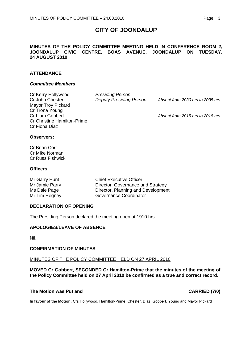# **CITY OF JOONDALUP**

# **MINUTES OF THE POLICY COMMITTEE MEETING HELD IN CONFERENCE ROOM 2, JOONDALUP CIVIC CENTRE, BOAS AVENUE, JOONDALUP ON TUESDAY, 24 AUGUST 2010**

# **ATTENDANCE**

#### *Committee Members*

| Cr Kerry Hollywood                 | <b>Presiding Person</b>        |                                  |
|------------------------------------|--------------------------------|----------------------------------|
| Cr John Chester                    | <b>Deputy Presiding Person</b> | Absent from 2030 hrs to 2035 hrs |
| Mayor Troy Pickard                 |                                |                                  |
| Cr Trona Young                     |                                |                                  |
| Cr Liam Gobbert                    |                                | Absent from 2015 hrs to 2018 hrs |
| <b>Cr Christine Hamilton-Prime</b> |                                |                                  |
| Cr Fiona Diaz                      |                                |                                  |

#### **Observers:**

Cr Brian Corr Cr Mike Norman Cr Russ Fishwick

#### **Officers:**

| Mr Garry Hunt  | <b>Chief Executive Officer</b>     |
|----------------|------------------------------------|
| Mr Jamie Parry | Director, Governance and Strategy  |
| Ms Dale Page   | Director, Planning and Development |
| Mr Tim Hegney  | Governance Coordinator             |

# **DECLARATION OF OPENING**

The Presiding Person declared the meeting open at 1910 hrs.

# **APOLOGIES/LEAVE OF ABSENCE**

Nil.

# **CONFIRMATION OF MINUTES**

#### MINUTES OF THE POLICY COMMITTEE HELD ON 27 APRIL 2010

**MOVED Cr Gobbert, SECONDED Cr Hamilton-Prime that the minutes of the meeting of the Policy Committee held on 27 April 2010 be confirmed as a true and correct record.** 

#### **The Motion was Put and CARRIED (7/0) CARRIED (7/0)**

**In favour of the Motion:** Crs Hollywood, Hamilton-Prime, Chester, Diaz, Gobbert, Young and Mayor Pickard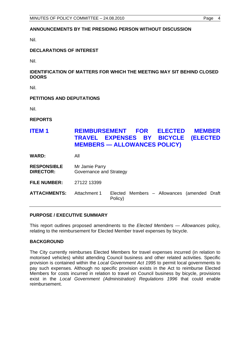# **ANNOUNCEMENTS BY THE PRESIDING PERSON WITHOUT DISCUSSION**

Nil.

# **DECLARATIONS OF INTEREST**

Nil.

# **IDENTIFICATION OF MATTERS FOR WHICH THE MEETING MAY SIT BEHIND CLOSED DOORS**

Nil.

# **PETITIONS AND DEPUTATIONS**

Nil.

**REPORTS** 

# **ITEM 1 REIMBURSEMENT FOR ELECTED MEMBER TRAVEL EXPENSES BY BICYCLE (ELECTED MEMBERS — ALLOWANCES POLICY)**

**WARD:** All

**RESPONSIBLE** Mr Jamie Parry **DIRECTOR:** Governance and Strategy

**FILE NUMBER:** 27122 13399

**ATTACHMENTS:** Attachment 1 Elected Members – Allowances (amended Draft Policy)

# **PURPOSE / EXECUTIVE SUMMARY**

This report outlines proposed amendments to the *Elected Members — Allowances* policy, relating to the reimbursement for Elected Member travel expenses by bicycle.

# **BACKGROUND**

The City currently reimburses Elected Members for travel expenses incurred (in relation to motorised vehicles) whilst attending Council business and other related activities. Specific provision is contained within the *Local Government Act 1995* to permit local governments to pay such expenses. Although no specific provision exists in the Act to reimburse Elected Members for costs incurred in relation to travel on Council business by bicycle, provisions exist in the *Local Government (Administration) Regulations 1996* that could enable reimbursement.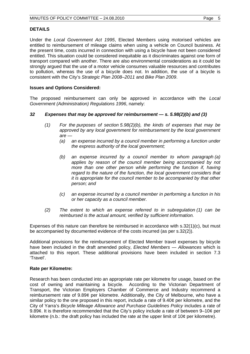# **DETAILS**

Under the *Local Government Act 1995*, Elected Members using motorised vehicles are entitled to reimbursement of mileage claims when using a vehicle on Council business. At the present time, costs incurred in connection with using a bicycle have not been considered entitled. This situation could be considered inequitable as it discriminates against one form of transport compared with another. There are also environmental considerations as it could be strongly argued that the use of a motor vehicle consumes valuable resources and contributes to pollution, whereas the use of a bicycle does not. In addition, the use of a bicycle is consistent with the City's *Strategic Plan 2008–2011* and *Bike Plan 2009*.

# **Issues and Options Considered:**

The proposed reimbursement can only be approved in accordance with the *Local Government (Administration) Regulations 1996*, namely:

#### *32 Expenses that may be approved for reimbursement — s. 5.98(2)(b) and (3)*

- *(1) For the purposes of section 5.98(2)(b), the kinds of expenses that may be approved by any local government for reimbursement by the local government are —* 
	- *(a) an expense incurred by a council member in performing a function under the express authority of the local government;*
	- *(b) an expense incurred by a council member to whom paragraph (a) applies by reason of the council member being accompanied by not more than one other person while performing the function if, having regard to the nature of the function, the local government considers that it is appropriate for the council member to be accompanied by that other person; and*
	- *(c) an expense incurred by a council member in performing a function in his or her capacity as a council member.*
- *(2) The extent to which an expense referred to in subregulation (1) can be reimbursed is the actual amount, verified by sufficient information.*

Expenses of this nature can therefore be reimbursed in accordance with s.32(1)(c), but must be accompanied by documented evidence of the costs incurred (as per s.32(2)).

Additional provisions for the reimbursement of Elected Member travel expenses by bicycle have been included in the draft amended policy, *Elected Members — Allowances* which is attached to this report. These additional provisions have been included in section 7.3 'Travel'.

#### **Rate per Kilometre:**

Research has been conducted into an appropriate rate per kilometre for usage, based on the cost of owning and maintaining a bicycle. According to the Victorian Department of Transport, the Victorian Employers Chamber of Commerce and Industry recommend a reimbursement rate of 9.89¢ per kilometre. Additionally, the City of Melbourne, who have a similar policy to the one proposed in this report, include a rate of 9.40¢ per kilometre, and the City of Yarra's *Bicycle Mileage Allowance and Purchase Guidelines Policy* includes a rate of 9.89¢. It is therefore recommended that the City's policy include a rate of between 9–10¢ per kilometre (n.b.: the draft policy has included the rate at the upper limit of 10¢ per kilometre).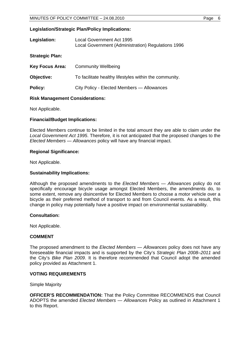#### **Legislation/Strategic Plan/Policy Implications:**

| Legislation:           | Local Government Act 1995<br>Local Government (Administration) Regulations 1996 |  |
|------------------------|---------------------------------------------------------------------------------|--|
| <b>Strategic Plan:</b> |                                                                                 |  |
| <b>Key Focus Area:</b> | <b>Community Wellbeing</b>                                                      |  |
| Objective:             | To facilitate healthy lifestyles within the community.                          |  |
| <b>Policy:</b>         | City Policy - Elected Members - Allowances                                      |  |
|                        |                                                                                 |  |

# **Risk Management Considerations:**

Not Applicable.

#### **Financial/Budget Implications:**

Elected Members continue to be limited in the total amount they are able to claim under the *Local Government Act 1995*. Therefore, it is not anticipated that the proposed changes to the *Elected Members — Allowances* policy will have any financial impact.

#### **Regional Significance:**

Not Applicable.

#### **Sustainability Implications:**

Although the proposed amendments to the *Elected Members — Allowances* policy do not specifically encourage bicycle usage amongst Elected Members, the amendments do, to some extent, remove any disincentive for Elected Members to choose a motor vehicle over a bicycle as their preferred method of transport to and from Council events. As a result, this change in policy may potentially have a positive impact on environmental sustainability.

# **Consultation:**

Not Applicable.

# **COMMENT**

The proposed amendment to the *Elected Members — Allowances* policy does not have any foreseeable financial impacts and is supported by the City's *Strategic Plan 2008–2011* and the City's *Bike Plan 2009*. It is therefore recommended that Council adopt the amended policy provided as Attachment 1.

# **VOTING REQUIREMENTS**

Simple Majority

**OFFICER'S RECOMMENDATION:** That the Policy Committee RECOMMENDS that Council ADOPTS the amended *Elected Members — Allowances* Policy as outlined in Attachment 1 to this Report.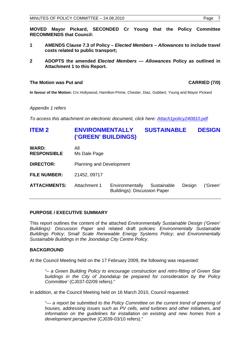**MOVED Mayor Pickard, SECONDED Cr Young that the Policy Committee RECOMMENDS that Council:** 

- **1 AMENDS Clause 7.3 of Policy** *Elected Members Allowances* **to include travel costs related to public transport;**
- **2 ADOPTS the amended** *Elected Members Allowances* **Policy as outlined in Attachment 1 to this Report.**

#### **The Motion was Put and CARRIED (7/0) CARRIED (7/0)**

**In favour of the Motion:** Crs Hollywood, Hamilton-Prime, Chester, Diaz, Gobbert, Young and Mayor Pickard

*Appendix 1 refers* 

*To access this attachment on electronic document, click here[: Attach1policy240810.pdf](Attach1policy240810.pdf)* 

# **ITEM 2 ENVIRONMENTALLY SUSTAINABLE DESIGN ('GREEN' BUILDINGS)**

**WARD:** All **RESPONSIBLE** Ms Dale Page

**DIRECTOR:** Planning and Development

**FILE NUMBER:** 21452, 09717

**ATTACHMENTS:** Attachment 1 Environmentally Sustainable Design ('Green' Buildings): Discussion Paper

# **PURPOSE / EXECUTIVE SUMMARY**

This report outlines the content of the attached *Environmentally Sustainable Design ('Green' Buildings): Discussion Paper* and related draft policies: *Environmentally Sustainable Buildings Policy*; *Small Scale Renewable Energy Systems Policy*; and *Environmentally Sustainable Buildings in the Joondalup City Centre Policy*.

# **BACKGROUND**

At the Council Meeting held on the 17 February 2009, the following was requested:

*"– a Green Building Policy to encourage construction and retro-fitting of Green Star buildings in the City of Joondalup be prepared for consideration by the Policy Committee'* (CJ037-02/09 refers)."

In addition, at the Council Meeting held on 16 March 2010, Council requested:

*"— a report be submitted to the Policy Committee on the current trend of greening of houses, addressing issues such as PV cells, wind turbines and other initiatives, and information on the guidelines for installation on existing and new homes from a development perspective* (CJ039-03/10 refers)."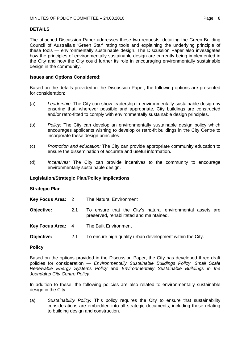# **DETAILS**

The attached Discussion Paper addresses these two requests, detailing the Green Building Council of Australia's 'Green Star' rating tools and explaining the underlying principle of these tools — environmentally sustainable design. The Discussion Paper also investigates how the principles of environmentally sustainable design are currently being implemented in the City and how the City could further its role in encouraging environmentally sustainable design in the community.

#### **Issues and Options Considered:**

Based on the details provided in the Discussion Paper, the following options are presented for consideration:

- (a) *Leadership:* The City can show leadership in environmentally sustainable design by ensuring that, wherever possible and appropriate, City buildings are constructed and/or retro-fitted to comply with environmentally sustainable design principles.
- (b) *Policy:* The City can develop an environmentally sustainable design policy which encourages applicants wishing to develop or retro-fit buildings in the City Centre to incorporate these design principles.
- (c) *Promotion and education:* The City can provide appropriate community education to ensure the dissemination of accurate and useful information.
- (d) *Incentives:* The City can provide incentives to the community to encourage environmentally sustainable design.

#### **Legislation/Strategic Plan/Policy Implications**

#### **Strategic Plan**

| Key Focus Area: 2 |            | The Natural Environment                                                                                |  |
|-------------------|------------|--------------------------------------------------------------------------------------------------------|--|
| Objective:        | <b>2.1</b> | To ensure that the City's natural environmental assets are<br>preserved, rehabilitated and maintained. |  |
| Key Focus Area: 4 |            | The Built Environment                                                                                  |  |
| Objective:        | 2.1        | To ensure high quality urban development within the City.                                              |  |

#### **Policy**

Based on the options provided in the Discussion Paper, the City has developed three draft policies for consideration — *Environmentally Sustainable Buildings Policy*, *Small Scale Renewable Energy Systems Policy* and *Environmentally Sustainable Buildings in the Joondalup City Centre Policy*.

In addition to these, the following policies are also related to environmentally sustainable design in the City:

(a) *Sustainability Policy:* This policy requires the City to ensure that sustainability considerations are embedded into all strategic documents, including those relating to building design and construction.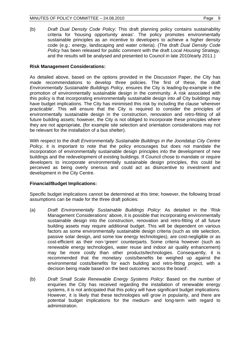(b) *Draft Dual Density Code Policy:* This draft planning policy contains sustainability criteria for 'housing opportunity areas'. The policy promotes environmentally sustainable principles as an incentive to developers to achieve a higher density code (e.g.: energy, landscaping and water criteria). (The draft *Dual Density Code Policy* has been released for public comment with the draft *Local Housing Strategy*, and the results will be analysed and presented to Council in late 2010/early 2011.)

# **Risk Management Considerations:**

As detailed above, based on the options provided in the Discussion Paper, the City has made recommendations to develop three policies. The first of these, the draft *Environmentally Sustainable Buildings Policy*, ensures the City is leading-by-example in the promotion of environmentally sustainable design in the community. A risk associated with this policy is that incorporating environmentally sustainable design into *all* City buildings may have budget implications. The City has minimised this risk by including the clause 'wherever practicable'. This will ensure that the City is required to consider the principles of environmentally sustainable design in the construction, renovation and retro-fitting of all future building assets; however, the City is not obliged to incorporate these principles where they are not appropriate, (for example site selection and orientation considerations may not be relevant for the installation of a bus shelter).

With respect to the draft *Environmentally Sustainable Buildings in the Joondalup City Centre Policy*, it is important to note that the policy encourages but does not mandate the incorporation of environmentally sustainable design principles into the development of new buildings and the redevelopment of existing buildings. If Council chose to mandate or require developers to incorporate environmentally sustainable design principles, this could be perceived as being overly onerous and could act as disincentive to investment and development in the City Centre.

# **Financial/Budget Implications:**

Specific budget implications cannot be determined at this time; however, the following broad assumptions can be made for the three draft policies:

- (a) *Draft Environmentally Sustainable Buildings Policy*: As detailed in the 'Risk Management Considerations' above, it is possible that incorporating environmentally sustainable design into the construction, renovation and retro-fitting of all future building assets may require additional budget. This will be dependent on various factors as some environmentally sustainable design criteria (such as site selection, passive solar design, and some low energy technologies), are cost-negligible or as cost-efficient as their non-'green' counterparts. Some criteria however (such as renewable energy technologies, water reuse and indoor air quality enhancement) may be more costly than other products/technologies. Consequently, it is recommended that the monetary costs/benefits be weighed up against the environmental costs/benefits for each building and retro-fitting project, with a decision being made based on the best outcomes 'across the board'.
- (b) *Draft Small Scale Renewable Energy Systems Policy*: Based on the number of enquiries the City has received regarding the installation of renewable energy systems, it is not anticipated that this policy will have significant budget implications. However, it is likely that these technologies will grow in popularity, and there are potential budget implications for the medium- and long-term with regard to administration.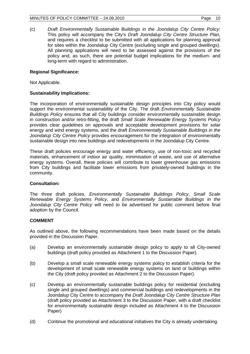(c) *Draft Environmentally Sustainable Buildings in the Joondalup City Centre Policy*: This policy will accompany the City's *Draft Joondalup City Centre Structure Plan*, and requires a checklist to be submitted with all applications for planning approval for sites within the Joondalup City Centre (excluding single and grouped dwellings). All planning applications will need to be assessed against the provisions of the policy and, as such, there are potential budget implications for the medium- and long-term with regard to administration.

# **Regional Significance:**

Not Applicable.

# **Sustainability Implications:**

The incorporation of environmentally sustainable design principles into City policy would support the environmental sustainability of the City. The draft *Environmentally Sustainable Buildings Policy* ensures that all City buildings consider environmentally sustainable design in construction and/or retro-fitting, the draft *Small Scale Renewable Energy Systems Policy* provides clear guidelines on approvals and acceptable development provisions for solar energy and wind energy systems, and the draft *Environmentally Sustainable Buildings in the Joondalup City Centre Policy* provides encouragement for the integration of environmentally sustainable design into new buildings and redevelopments in the Joondalup City Centre.

These draft policies encourage energy and water efficiency, use of non-toxic and recycled materials, enhancement of indoor air quality, minimisation of waste, and use of alternative energy systems. Overall, these policies will contribute to lower greenhouse gas emissions from City buildings and facilitate lower emissions from privately-owned buildings in the community.

# **Consultation:**

The three draft policies, *Environmentally Sustainable Buildings Policy*, *Small Scale Renewable Energy Systems Policy*, and *Environmentally Sustainable Buildings in the Joondalup City Centre Policy* will need to be advertised for public comment before final adoption by the Council.

# **COMMENT**

As outlined above, the following recommendations have been made based on the details provided in the Discussion Paper.

- (a) Develop an environmentally sustainable design policy to apply to all City-owned buildings (draft policy provided as Attachment 1 to the Discussion Paper).
- (b) Develop a small scale renewable energy systems policy to establish criteria for the development of small scale renewable energy systems on land or buildings within the City (draft policy provided as Attachment 2 to the Discussion Paper).
- (c) Develop an environmentally sustainable buildings policy for residential (excluding single and grouped dwellings) and commercial buildings and redevelopments in the Joondalup City Centre to accompany the *Draft Joondalup City Centre Structure Plan* (draft policy provided as Attachment 3 to the Discussion Paper, with a draft checklist for environmentally sustainable design included as Attachment 4 to the Discussion Paper)
- (d) Continue the promotional and educational initiatives the City is already undertaking.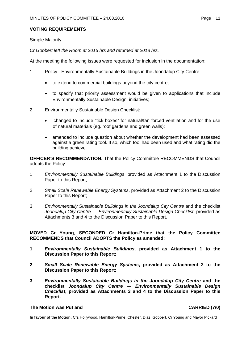# **VOTING REQUIREMENTS**

Simple Majority

*Cr Gobbert left the Room at 2015 hrs and returned at 2018 hrs.* 

At the meeting the following issues were requested for inclusion in the documentation:

- 1 Policy Environmentally Sustainable Buildings in the Joondalup City Centre:
	- to extend to commercial buildings beyond the city centre;
	- to specify that priority assessment would be given to applications that include Environmentally Sustainable Design initiatives;
- 2 Environmentally Sustainable Design Checklist:
	- changed to include "tick boxes" for natural/fan forced ventilation and for the use of natural materials (eg. roof gardens and green walls);
	- amended to include question about whether the development had been assessed against a green rating tool. If so, which tool had been used and what rating did the building achieve.

**OFFICER'S RECOMMENDATION:** That the Policy Committee RECOMMENDS that Council adopts the Policy:

- 1 *Environmentally Sustainable Buildings*, provided as Attachment 1 to the Discussion Paper to this Report;
- 2 *Small Scale Renewable Energy Systems*, provided as Attachment 2 to the Discussion Paper to this Report;
- 3 *Environmentally Sustainable Buildings in the Joondalup City Centre* and the checklist *Joondalup City Centre — Environmentally Sustainable Design Checklist*, provided as Attachments 3 and 4 to the Discussion Paper to this Report.

# **MOVED Cr Young, SECONDED Cr Hamilton-Prime that the Policy Committee RECOMMENDS that Council ADOPTS the Policy as amended:**

- **1** *Environmentally Sustainable Buildings***, provided as Attachment 1 to the Discussion Paper to this Report;**
- **2** *Small Scale Renewable Energy Systems***, provided as Attachment 2 to the Discussion Paper to this Report;**
- **3** *Environmentally Sustainable Buildings in the Joondalup City Centre* **and the checklist** *Joondalup City Centre — Environmentally Sustainable Design Checklist***, provided as Attachments 3 and 4 to the Discussion Paper to this Report.**

#### **The Motion was Put and CARRIED (7/0)**

**In favour of the Motion:** Crs Hollywood, Hamilton-Prime, Chester, Diaz, Gobbert, Cr Young and Mayor Pickard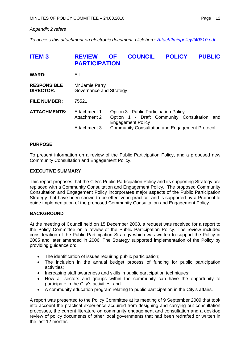#### *Appendix 2 refers*

*To access this attachment on electronic document, click here: <Attach2minpolicy240810.pdf>*

| <b>ITEM3</b>                           | <b>REVIEW</b><br><b>PARTICIPATION</b>        | <b>OF</b> | <b>COUNCIL</b>                                                                                                                                                         | <b>POLICY</b> | <b>PUBLIC</b> |
|----------------------------------------|----------------------------------------------|-----------|------------------------------------------------------------------------------------------------------------------------------------------------------------------------|---------------|---------------|
| <b>WARD:</b>                           | All                                          |           |                                                                                                                                                                        |               |               |
| <b>RESPONSIBLE</b><br><b>DIRECTOR:</b> | Mr Jamie Parry<br>Governance and Strategy    |           |                                                                                                                                                                        |               |               |
| <b>FILE NUMBER:</b>                    | 75521                                        |           |                                                                                                                                                                        |               |               |
| <b>ATTACHMENTS:</b>                    | Attachment 1<br>Attachment 2<br>Attachment 3 |           | Option 3 - Public Participation Policy<br>Option 1 - Draft Community Consultation<br><b>Engagement Policy</b><br><b>Community Consultation and Engagement Protocol</b> |               | and           |

# **PURPOSE**

To present information on a review of the Public Participation Policy, and a proposed new Community Consultation and Engagement Policy.

#### **EXECUTIVE SUMMARY**

This report proposes that the City's Public Participation Policy and its supporting Strategy are replaced with a Community Consultation and Engagement Policy. The proposed Community Consultation and Engagement Policy incorporates major aspects of the Public Participation Strategy that have been shown to be effective in practice, and is supported by a Protocol to guide implementation of the proposed Community Consultation and Engagement Policy.

#### **BACKGROUND**

At the meeting of Council held on 15 December 2008, a request was received for a report to the Policy Committee on a review of the Public Participation Policy. The review included consideration of the Public Participation Strategy which was written to support the Policy in 2005 and later amended in 2006. The Strategy supported implementation of the Policy by providing guidance on:

- The identification of issues requiring public participation;
- The inclusion in the annual budget process of funding for public participation activities;
- Increasing staff awareness and skills in public participation techniques;
- How all sectors and groups within the community can have the opportunity to participate in the City's activities; and
- A community education program relating to public participation in the City's affairs.

A report was presented to the Policy Committee at its meeting of 9 September 2009 that took into account the practical experience acquired from designing and carrying out consultation processes, the current literature on community engagement and consultation and a desktop review of policy documents of other local governments that had been redrafted or written in the last 12 months.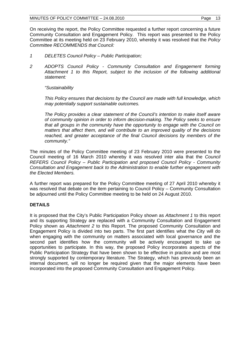On receiving the report, the Policy Committee requested a further report concerning a future Community Consultation and Engagement Policy. This report was presented to the Policy Committee at its meeting held on 23 February 2010, whereby it was resolved that the *Policy Committee RECOMMENDS that Council:* 

- *1 DELETES Council Policy Public Participation;*
- *2 ADOPTS Council Policy Community Consultation and Engagement forming Attachment 1 to this Report, subject to the inclusion of the following additional statement:*

*"Sustainability* 

*This Policy ensures that decisions by the Council are made with full knowledge, which may potentially support sustainable outcomes.* 

*The Policy provides a clear statement of the Council's intention to make itself aware of community opinion in order to inform decision-making. The Policy seeks to ensure that all groups in the community have the opportunity to engage with the Council on matters that affect them, and will contribute to an improved quality of the decisions*  reached, and greater acceptance of the final Council decisions by members of the *community."* 

The minutes of the Policy Committee meeting of 23 February 2010 were presented to the Council meeting of 16 March 2010 whereby it was resolved inter alia that the *Council REFERS Council Policy – Public Participation and proposed Council Policy - Community Consultation and Engagement back to the Administration to enable further engagement with the Elected Members.* 

A further report was prepared for the Policy Committee meeting of 27 April 2010 whereby it was resolved that debate on the item pertaining to Council Policy – Community Consultation be adjourned until the Policy Committee meeting to be held on 24 August 2010.

# **DETAILS**

It is proposed that the City's Public Participation Policy shown as *Attachment 1* to this report and its supporting Strategy are replaced with a Community Consultation and Engagement Policy shown as *Attachment 2* to this Report. The proposed Community Consultation and Engagement Policy is divided into two parts. The first part identifies what the City will do when engaging with the community on matters associated with local governance and the second part identifies how the community will be actively encouraged to take up opportunities to participate. In this way, the proposed Policy incorporates aspects of the Public Participation Strategy that have been shown to be effective in practice and are most strongly supported by contemporary literature. The Strategy, which has previously been an internal document, will no longer be required given that the major elements have been incorporated into the proposed Community Consultation and Engagement Policy.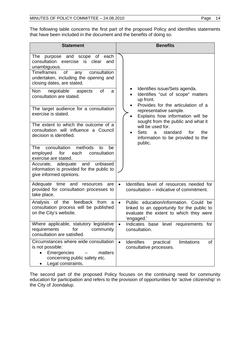The following table concerns the first part of the proposed Policy and identifies statements that have been included in the document and the benefits of doing so.

| <b>Statement</b>                                                                                                                                                                                         | <b>Benefits</b>                                                                                                                                           |
|----------------------------------------------------------------------------------------------------------------------------------------------------------------------------------------------------------|-----------------------------------------------------------------------------------------------------------------------------------------------------------|
| The purpose and scope of each<br>consultation exercise is clear<br>and<br>unambiguous.<br>of<br>Timeframes<br>consultation<br>any<br>undertaken, including the opening and<br>closing dates, are stated. |                                                                                                                                                           |
| Non negotiable aspects<br>of<br>a<br>consultation are stated.                                                                                                                                            | Identifies issue/Sets agenda.<br>Identifies "out of scope" matters<br>up front.<br>Provides for the articulation of a                                     |
| The target audience for a consultation<br>exercise is stated.                                                                                                                                            | representative sample.<br>Explains how information will be<br>sought from the public and what it                                                          |
| The extent to which the outcome of a<br>consultation will influence a Council<br>decision is identified.                                                                                                 | will be used for.<br><b>Sets</b><br>standard<br>the<br>for<br>a -<br>information to be provided to the<br>public.                                         |
| methods<br>consultation<br>The<br>be<br>to<br>employed for<br>consultation<br>each<br>exercise are stated.                                                                                               |                                                                                                                                                           |
| Accurate, adequate and unbiased<br>information is provided for the public to<br>give informed opinions.                                                                                                  |                                                                                                                                                           |
| Adequate time and resources<br>are<br>provided for consultation processes to<br>take place.                                                                                                              | Identifies level of resources needed for<br>$\bullet$<br>consultation – indicative of commitment.                                                         |
| Analysis of the feedback from<br>a<br>consultation process will be published<br>on the City's website.                                                                                                   | Public education/information. Could be<br>$\bullet$<br>linked to an opportunity for the public to<br>evaluate the extent to which they were<br>'engaged.' |
| Where applicable, statutory legislative<br>requirements for community<br>consultation are satisfied.                                                                                                     | Indicates base level requirements for<br>$\bullet$<br>consultation.                                                                                       |
| Circumstances where wide consultation<br>is not possible:<br>Emergencies<br>matters<br>concerning public safety etc.<br>Legal constraints.                                                               | Identifies<br>limitations<br>$\bullet$<br>practical<br>of<br>consultative processes.                                                                      |

The second part of the proposed Policy focuses on the continuing need for community education for participation and refers to the provision of opportunities for 'active citizenship' in the City of Joondalup.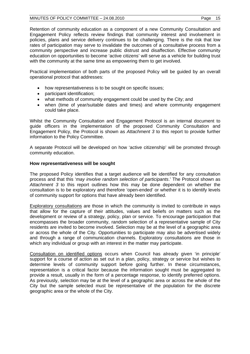#### MINUTES OF POLICY COMMITTEE  $-24.08.2010$  Page 15

Retention of community education as a component of a new Community Consultation and Engagement Policy reflects review findings that community interest and involvement in policies, plans and service delivery continues to be challenging. There is the risk that low rates of participation may serve to invalidate the outcomes of a consultative process from a community perspective and increase public distrust and disaffection. Effective community education on opportunities to become 'active citizens' will serve as a vehicle for building trust with the community at the same time as empowering them to get involved.

Practical implementation of both parts of the proposed Policy will be guided by an overall operational protocol that addresses:

- how representativeness is to be sought on specific issues;
- participant identification:
- what methods of community engagement could be used by the City; and
- when (time of year/suitable dates and times) and where community engagement could take place.

Whilst the Community Consultation and Engagement Protocol is an internal document to guide officers in the implementation of the proposed Community Consultation and Engagement Policy, the Protocol is shown as *Attachment 3* to this report to provide further information to the Policy Committee.

A separate Protocol will be developed on how 'active citizenship' will be promoted through community education.

# **How representativeness will be sought**

The proposed Policy identifies that a target audience will be identified for any consultation process and that this '*may involve random selection of participants*.' The Protocol shown as *Attachment 3* to this report outlines how this may be done dependent on whether the consultation is to be exploratory and therefore 'open-ended' or whether it is to identify levels of community support for options that have already been identified.

Exploratory consultations are those in which the community is invited to contribute in ways that allow for the capture of their attitudes, values and beliefs on matters such as the development or review of a strategy, policy, plan or service. To encourage participation that encompasses the broader community, random selection of a representative sample of City residents are invited to become involved. Selection may be at the level of a geographic area or across the whole of the City. Opportunities to participate may also be advertised widely and through a range of communication channels. Exploratory consultations are those in which any individual or group with an interest in the matter may participate.

Consultation on identified options occurs when Council has already given 'in principle' support for a course of action as set out in a plan, policy, strategy or service but wishes to determine levels of community support before going further. In these circumstances, representation is a critical factor because the information sought must be aggregated to provide a result, usually in the form of a percentage response, to identify preferred options. As previously, selection may be at the level of a geographic area or across the whole of the City but the sample selected must be representative of the population for the discrete geographic area or the whole of the City.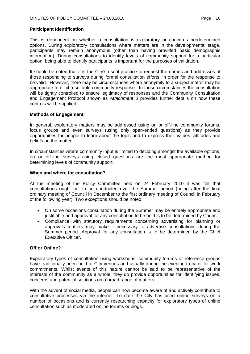# **Participant Identification**

This is dependent on whether a consultation is exploratory or concerns predetermined options. During exploratory consultations where matters are in the developmental stage, participants may remain anonymous (other than having provided basic demographic information). During consultations to identify levels of community support for a particular option, being able to identify participants is important for the purposes of validation.

It should be noted that it is the City's usual practice to request the names and addresses of those responding to surveys during formal consultation efforts, in order for the response to be valid. However, there may be circumstances where anonymity to a subject matter may be appropriate to elicit a suitable community response. In those circumstances the consultation will be tightly controlled to ensure legitimacy of responses and the Community Consultation and Engagement Protocol shown as *Attachment 3* provides further details on how these controls will be applied.

#### **Methods of Engagement**

In general, exploratory matters may be addressed using on or off-line community forums, focus groups and even surveys (using only open-ended questions) as they provide opportunities for people to learn about the topic and to express their values, attitudes and beliefs on the matter.

In circumstances where community input is limited to deciding amongst the available options, on or off-line surveys using closed questions are the most appropriate method for determining levels of community support.

#### **When and where for consultation?**

At the meeting of the Policy Committee held on 24 February 2010 it was felt that consultations ought not to be conducted over the Summer period (being after the final ordinary meeting of Council in December to the first ordinary meeting of Council in February of the following year). Two exceptions should be noted:

- On some occasions consultation during the Summer may be entirely appropriate and justifiable and approval for any consultation to be held is to be determined by Council;
- Compliance with statutory requirements concerning advertising for planning or approvals matters may make it necessary to advertise consultations during the Summer period. Approval for any consultation is to be determined by the Chief Executive Officer.

#### **Off or Online?**

Exploratory types of consultation using workshops, community forums or reference groups have traditionally been held at City venues and usually during the evening to cater for work commitments. Whilst events of this nature cannot be said to be representative of the interests of the community as a whole, they do provide opportunities for identifying issues, concerns and potential solutions on a broad range of matters

With the advent of social media, people can now become aware of and actively contribute to consultative processes via the internet. To date the City has used online surveys on a number of occasions and is currently researching capacity for exploratory types of online consultation such as moderated online forums or blogs.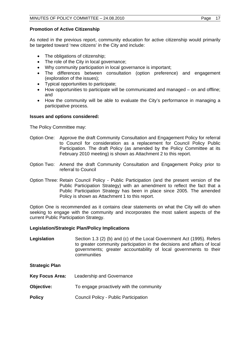# **Promotion of Active Citizenship**

As noted in the previous report, community education for active citizenship would primarily be targeted toward 'new citizens' in the City and include:

- The obligations of citizenship;
- The role of the City in local governance;
- Why community participation in local governance is important;
- The differences between consultation (option preference) and engagement (exploration of the issues);
- Typical opportunities to participate;
- How opportunities to participate will be communicated and managed on and offline; and
- How the community will be able to evaluate the City's performance in managing a participative process.

# **Issues and options considered:**

The Policy Committee may:

- Option One: Approve the draft Community Consultation and Engagement Policy for referral to Council for consideration as a replacement for Council Policy Public Participation. The draft Policy (as amended by the Policy Committee at its February 2010 meeting) is shown as Attachment 2 to this report.
- Option Two: Amend the draft Community Consultation and Engagement Policy prior to referral to Council
- Option Three: Retain Council Policy Public Participation (and the present version of the Public Participation Strategy) with an amendment to reflect the fact that a Public Participation Strategy has been in place since 2005. The amended Policy is shown as Attachment 1 to this report.

Option One is recommended as it contains clear statements on what the City will do when seeking to engage with the community and incorporates the most salient aspects of the current Public Participation Strategy.

# **Legislation/Strategic Plan/Policy Implications**

**Legislation** Section 1.3 (2) (b) and (c) of the Local Government Act (1995). Refers to greater community participation in the decisions and affairs of local governments; greater accountability of local governments to their communities

**Strategic Plan** 

- **Key Focus Area:** Leadership and Governance
- **Objective:** To engage proactively with the community
- **Policy** Council Policy Public Participation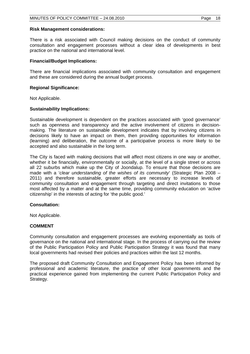#### **Risk Management considerations:**

There is a risk associated with Council making decisions on the conduct of community consultation and engagement processes without a clear idea of developments in best practice on the national and international level.

#### **Financial/Budget Implications:**

There are financial implications associated with community consultation and engagement and these are considered during the annual budget process.

#### **Regional Significance:**

Not Applicable.

#### **Sustainability Implications:**

Sustainable development is dependent on the practices associated with 'good governance' such as openness and transparency and the active involvement of citizens in decisionmaking. The literature on sustainable development indicates that by involving citizens in decisions likely to have an impact on them, then providing opportunities for information (learning) and deliberation, the outcome of a participative process is more likely to be accepted and also sustainable in the long term.

The City is faced with making decisions that will affect most citizens in one way or another, whether it be financially, environmentally or socially, at the level of a single street or across all 22 suburbs which make up the City of Joondalup. To ensure that those decisions are made with a '*clear understanding of the wishes of its community*' (Strategic Plan 2008 – 2011) and therefore sustainable, greater efforts are necessary to increase levels of community consultation and engagement through targeting and direct invitations to those most affected by a matter and at the same time, providing community education on 'active citizenship' in the interests of acting for 'the public good.'

# **Consultation:**

Not Applicable.

# **COMMENT**

Community consultation and engagement processes are evolving exponentially as tools of governance on the national and international stage. In the process of carrying out the review of the Public Participation Policy and Public Participation Strategy it was found that many local governments had revised their policies and practices within the last 12 months.

The proposed draft Community Consultation and Engagement Policy has been informed by professional and academic literature, the practice of other local governments and the practical experience gained from implementing the current Public Participation Policy and Strategy.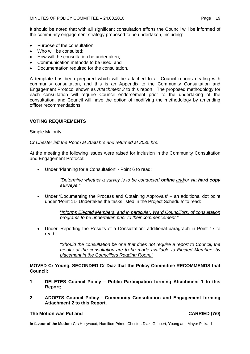It should be noted that with all significant consultation efforts the Council will be informed of the community engagement strategy proposed to be undertaken, including:

- Purpose of the consultation:
- Who will be consulted:
- How will the consultation be undertaken:
- Communication methods to be used; and
- Documentation required for the consultation.

A template has been prepared which will be attached to all Council reports dealing with community consultation, and this is an Appendix to the Community Consultation and Engagement Protocol shown as *Attachment 3* to this report. The proposed methodology for each consultation will require Council endorsement prior to the undertaking of the consultation, and Council will have the option of modifying the methodology by amending officer recommendations.

# **VOTING REQUIREMENTS**

Simple Majority

*Cr Chester left the Room at 2030 hrs and returned at 2035 hrs.* 

At the meeting the following issues were raised for inclusion in the Community Consultation and Engagement Protocol:

Under 'Planning for a Consultation' - Point 6 to read:

*"Determine whether a survey is to be conducted online and/or via hard copy surveys."* 

 Under 'Documenting the Process and Obtaining Approvals' – an additional dot point under 'Point 11- Undertakes the tasks listed in the Project Schedule' to read:

> "*Informs Elected Members, and in particular, Ward Councillors, of consultation programs to be undertaken prior to their commencement."*

 Under 'Reporting the Results of a Consultation" additional paragraph in Point 17 to read:

> *"Should the consultation be one that does not require a report to Council, the results of the consultation are to be made available to Elected Members by placement in the Councillors Reading Room."*

**MOVED Cr Young, SECONDED Cr Diaz that the Policy Committee RECOMMENDS that Council:** 

- **1 DELETES Council Policy Public Participation forming Attachment 1 to this Report;**
- **2 ADOPTS Council Policy Community Consultation and Engagement forming Attachment 2 to this Report.**

# **The Motion was Put and CARRIED (7/0)**

**In favour of the Motion:** Crs Hollywood, Hamilton-Prime, Chester, Diaz, Gobbert, Young and Mayor Pickard